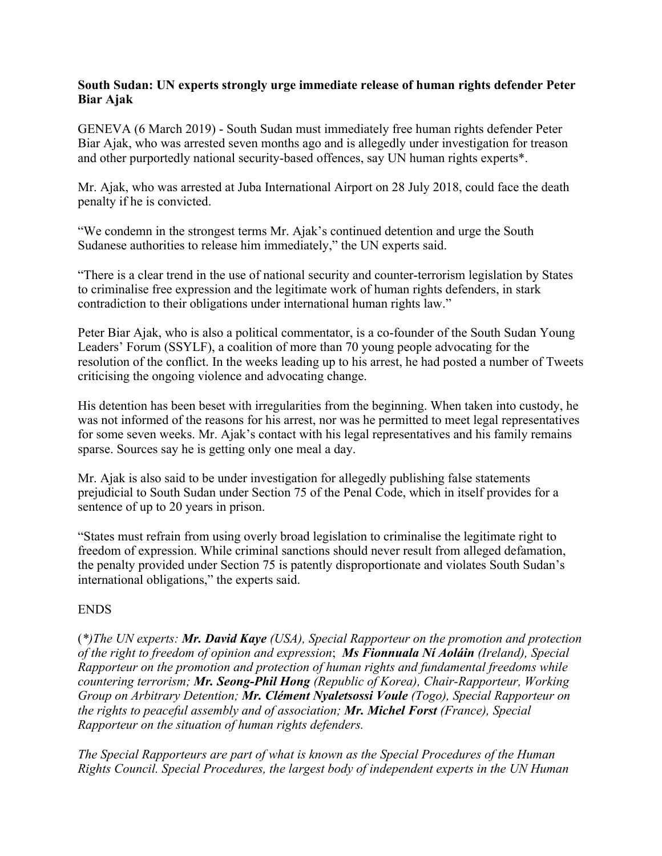## **South Sudan: UN experts strongly urge immediate release of human rights defender Peter Biar Ajak**

GENEVA (6 March 2019) - South Sudan must immediately free human rights defender Peter Biar Ajak, who was arrested seven months ago and is allegedly under investigation for treason and other purportedly national security-based offences, say UN human rights experts\*.

Mr. Ajak, who was arrested at Juba International Airport on 28 July 2018, could face the death penalty if he is convicted.

"We condemn in the strongest terms Mr. Ajak's continued detention and urge the South Sudanese authorities to release him immediately," the UN experts said.

"There is a clear trend in the use of national security and counter-terrorism legislation by States to criminalise free expression and the legitimate work of human rights defenders, in stark contradiction to their obligations under international human rights law."

Peter Biar Ajak, who is also a political commentator, is a co-founder of the South Sudan Young Leaders' Forum (SSYLF), a coalition of more than 70 young people advocating for the resolution of the conflict. In the weeks leading up to his arrest, he had posted a number of Tweets criticising the ongoing violence and advocating change.

His detention has been beset with irregularities from the beginning. When taken into custody, he was not informed of the reasons for his arrest, nor was he permitted to meet legal representatives for some seven weeks. Mr. Ajak's contact with his legal representatives and his family remains sparse. Sources say he is getting only one meal a day.

Mr. Ajak is also said to be under investigation for allegedly publishing false statements prejudicial to South Sudan under Section 75 of the Penal Code, which in itself provides for a sentence of up to 20 years in prison.

"States must refrain from using overly broad legislation to criminalise the legitimate right to freedom of expression. While criminal sanctions should never result from alleged defamation, the penalty provided under Section 75 is patently disproportionate and violates South Sudan's international obligations," the experts said.

## ENDS

(*\*)The UN experts: Mr. David Kaye (USA), Special Rapporteur on the promotion and protection of the right to freedom of opinion and expression*; *Ms Fionnuala Ní Aoláin (Ireland), Special Rapporteur on the promotion and protection of human rights and fundamental freedoms while countering terrorism; Mr. Seong-Phil Hong (Republic of Korea), Chair-Rapporteur, Working Group on Arbitrary Detention; Mr. Clément Nyaletsossi Voule (Togo), Special Rapporteur on the rights to peaceful assembly and of association; Mr. Michel Forst (France), Special Rapporteur on the situation of human rights defenders.*

*The Special Rapporteurs are part of what is known as the Special Procedures of the Human Rights Council. Special Procedures, the largest body of independent experts in the UN Human*